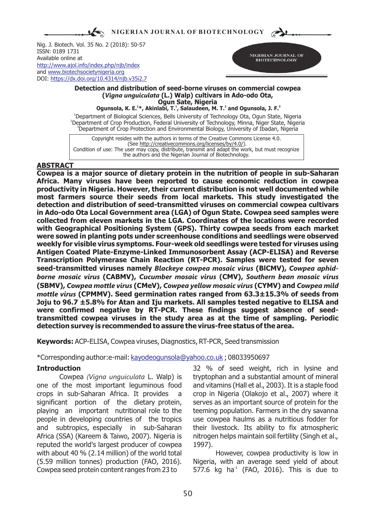**NIGERIAN JOURNAL OF BIOTECHNOLOGY**  $\sum$ 

Nig. J. Biotech. Vol. 35 No. 2 (2018): 50-57 ISSN: 0189 1731 Available online at and [www.biotechsocietynigeria.org](http://www.biotechsocietynigeria.org) DOI: https://dx.doi.org/10.4314/njb.v35i2.7 <http://www.ajol.info/index.php/njb/index>



### **Detection and distribution of seed-borne viruses on commercial cowpea (***Vigna unguiculata* **(L.) Walp) cultivars in Ado-odo Ota, Ogun Sate, Nigeria**

**<sup>1</sup> <sup>1</sup> <sup>2</sup> <sup>3</sup> Ogunsola, K. E. \*, Akinlabi, T. , Salaudeen, M. T. and Ogunsola, J. F.**

<sup>1</sup>Department of Biological Sciences, Bells University of Technology Ota, Ogun State, Nigeria <sup>2</sup>Department of Crop Production, Federal University of Technology, Minna, Niger State, Nigeria <sup>3</sup>Department of Crop Protection and Environmental Biology, University of Ibadan, Nigeria

Copyright resides with the authors in terms of the Creative Commons License 4.0. (See http://creativecommons.org/licenses/by/4.0/). Condition of use: The user may copy, distribute, transmit and adapt the work, but must recognize the authors and the Nigerian Journal of Biotechnology.

## **ABSTRACT**

**Cowpea is a major source of dietary protein in the nutrition of people in sub-Saharan Africa. Many viruses have been reported to cause economic reduction in cowpea productivity in Nigeria. However, their current distribution is not well documented while most farmers source their seeds from local markets. This study investigated the detection and distribution of seed-transmitted viruses on commercial cowpea cultivars in Ado-odo Ota Local Government area (LGA) of Ogun State. Cowpea seed samples were collected from eleven markets in the LGA. Coordinates of the locations were recorded with Geographical Positioning System (GPS). Thirty cowpea seeds from each market were sowed in planting pots under screenhouse conditions and seedlings were observed weekly for visible virus symptoms. Four-week old seedlings were tested for viruses using Antigen Coated Plate-Enzyme-Linked Immunosorbent Assay (ACP-ELISA) and Reverse Transcription Polymerase Chain Reaction (RT-PCR). Samples were tested for seven seed-transmitted viruses namely** *Blackeye cowpea mosaic virus* **(BlCMV),** *Cowpea aphidborne mosaic virus* **(CABMV),** *Cucumber mosaic virus* **(CMV),** *Southern bean mosaic virus*  **(SBMV),** *Cowpea mottle virus* **(CMeV),** *Cowpea yellow mosaic virus* **(CYMV) and** *Cowpea mild mottle virus* **(CPMMV). Seed germination rates ranged from 63.3±15.3% of seeds from Joju to 96.7 ±5.8% for Atan and Iju markets. All samples tested negative to ELISA and were confirmed negative by RT-PCR. These findings suggest absence of seedtransmitted cowpea viruses in the study area as at the time of sampling. Periodic detection survey is recommended to assure the virus-free status of the area.**

**Keywords:** ACP-ELISA, Cowpea viruses, Diagnostics, RT-PCR, Seed transmission

\*Corresponding author:e-mail: kayodeogunsola@yahoo.co.uk ; 08033950697

one of the most important leguminous food and vitamins (Hall et al., 2003). It is a staple food crops in sub-Saharan Africa. It provides a crop in Nigeria (Olakojo et al., 2007) where it significant portion of the dietary protein, serves as an important source of protein for the playing an important nutritional role to the teeming population. Farmers in the dry savanna people in developing countries of the tropics use cowpea haulms as a nutritious fodder for and subtropics, especially in sub-Saharan their livestock. Its ability to fix atmospheric Africa (SSA) (Kareem & Taiwo, 2007). Nigeria is nitrogen helps maintain soil fertility (Singh et al., reputed the world's largest producer of cowpea 1997). with about 40 % (2.14 million) of the world total However, cowpea productivity is low in (5.59 million tonnes) production (FAO, 2016). Nigeria, with an average seed yield of about Cowpea seed protein content ranges from 23 to  $577.6$  kg ha<sup> $1$ </sup> (FAO, 2016). This is due to

**Introduction** 32 % of seed weight, rich in lysine and Cowpea *(Vigna unguiculata* L. Walp) is tryptophan and a substantial amount of mineral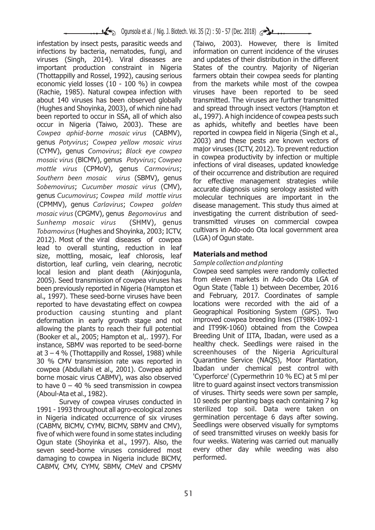infestation by insect pests, parasitic weeds and (Taiwo, 2003). However, there is limited infections by bacteria, nematodes, fungi, and information on current incidence of the viruses viruses (Singh, 2014). Viral diseases are and updates of their distribution in the different important production constraint in Nigeria States of the country. Majority of Nigerian (Thottappilly and Rossel, 1992), causing serious farmers obtain their cowpea seeds for planting economic yield losses (10 - 100 %) in cowpea from the markets while most of the cowpea (Rachie, 1985). Natural cowpea infection with viruses have been reported to be seed about 140 viruses has been observed globally transmitted. The viruses are further transmitted (Hughes and Shoyinka, 2003), of which nine had and spread through insect vectors (Hampton et been reported to occur in SSA, all of which also al., 1997). A high incidence of cowpea pests such occur in Nigeria (Taiwo, 2003). These are as aphids, whitefly and beetles have been *Cowpea aphid-borne mosaic virus* (CABMV), reported in cowpea field in Nigeria (Singh et al., genus *Potyvirus; Cowpea yellow mosaic virus* 2003) and these pests are known vectors of <br>(CYMV) genus Comovirus: Black eve cowpea major viruses (ICTV, 2012). To prevent reduction major viruses (ICTV, 2012). To prevent reduction (CYMV), genus *Comovirus*; *Black eye cowpea*  mosaic virus (BICMV), genus *Potyvirus*; *Cowpea* in cowpea productivity by infection or multiple *mottle virus* (CPMoV), genus *Carmovirus*; of their occurrence and distribution are required of their occurrence and distribution are required *Southern been mosaic virus* (SBMV), genus for effective management strategies while genus *Cucumovirus*; *Cowpea mild mottle virus* molecular techniques are important in the *mosaic virus* (CPGMV), genus *Begomovirus* and investigating the current distribution of seed-*Sunhemp mosaic virus* (SHMV), genus transmitted viruses on commercial cowpea *Tobamovirus* (Hughes and Shoyinka, 2003; ICTV, cultivars in Ado-odo Ota local government area 7012). Most of the viral diseases of cownea (LGA) of Ogun state. 2012). Most of the viral diseases of cowpea lead to overall stunting, reduction in leaf size, mottling, mosaic, leaf chlorosis, leaf **Materials and method**<br>distortion, leaf curling, vein clearing, necrotic Sample collection and planting distortion, leaf curling, vein clearing, necrotic *Sample collection and planting* local lesion and plant death (Akinjogunla, Cowpea seed samples were randomly collected 2005). Seed transmission of cowpea viruses has from eleven markets in Ado-odo Ota LGA of been pecember, 2016 been previously reported in Nigeria (Hampton et al., 1997). These seed-borne viruses have been and February, 2017. Coordinates of sample reported to have devastating effect on cowpea locations were recorded with the aid of a reported to have devastating effect on cowpea locations were recorded with the aid of a<br>production causing stunting and plant Geographical Positioning System (GPS). Two production causing stunting and plant Geographical Positioning System (GPS). Two deformation in early growth stage and not improved cowpea-breeding-lines (IT98K-1092-1<br>allowing the plants to reach their full potential and IT99K-1060) obtained from the Cowpea allowing the plants to reach their full potential (Booker et al., 2005; Hampton et al,. 1997). For Breeding Unit of IITA, Ibadan, were used as a<br>instance. SBMV was reported to be seed-borne bealthy check. Seedlings were raised in the instance, SBMV was reported to be seed-borne healthy check. Seedlings were raised in the<br>at 3 – 4 % (Thottappilly and Rossel, 1988) while screenhouses of the Nigeria Agricultural at  $3 - 4$  % (Thottappilly and Rossel, 1988) while 30 % CMV transmission rate was reported in Quarantine Service (NAQS), Moor Plantation, cowpea (Abdullahi et al. 2001). Cowpea aphid Ibadan under chemical pest control with cowpea (Abdullahi et al., 2001). Cowpea aphid Ibadan under chemical pest control with borne mosaic virus CABMV), was also observed 'Cyperforce' (Cypermethrin 10 % EC) at 5 ml per<br>to have 0 – 40 % seed transmission in cowpea litre to quard against insect vectors transmission to have  $0 - 40$  % seed transmission in cowpea (Aboul-Ata et al., 1982). of viruses. Thirty seeds were sown per sample,

1991 - 1993 throughout all agro-ecological zones sterilized top soil. Data were taken on in Nigeria indicated occurrence of six viruses germination percentage 6 days after sowing.<br>CABMV BICMV CYMV BICMV SBMV and CMV). Seedlings were observed visually for symptoms (CABMV, BICMV, CYMV, BICMV, SBMV and CMV), Seedlings were observed visually for symptoms<br>five of which were found in some states including of seed transmitted viruses on weekly basis for five of which were found in some states including of seed transmitted viruses on weekly basis for<br>Oqun state (Shovinka et al., 1997), Also, the four weeks. Watering was carried out manually Ogun state (Shoyinka et al., 1997). Also, the four weeks. Watering was carried out manually seven seed-borne viruses considered most every other day while weeding was also seven seed-borne viruses considered most every other damaging to cowpea in Nigeria include BICMV. performed. damaging to cowpea in Nigeria include BICMV, CABMV, CMV, CYMV, SBMV, CMeV and CPSMV

accurate diagnosis using serology assisted with disease management. This study thus aimed at

Survey of cowpea viruses conducted in 10 seeds per planting bags each containing 7 kg<br>1993 throughout all agro-ecological zones sterilized top soil. Data were taken on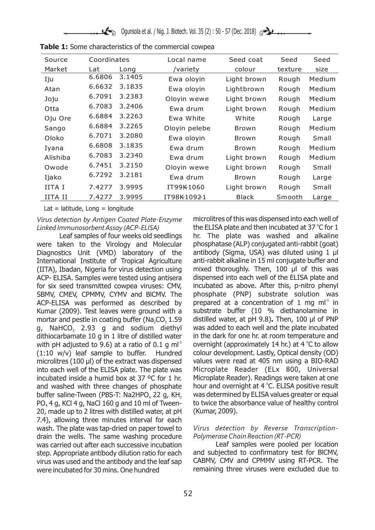| Source         | Coordinates |        | Local name    | Seed coat    | Seed    | Seed   |  |
|----------------|-------------|--------|---------------|--------------|---------|--------|--|
| Market         | Lat         | Long   | /variety      | colour       | texture | size   |  |
| Iju            | 6.6806      | 3.1405 | Ewa oloyin    | Light brown  | Rough   | Medium |  |
| Atan           | 6.6632      | 3.1835 | Ewa oloyin    | Lightbrown   | Rough   | Medium |  |
| Joju           | 6.7091      | 3.2383 | Oloyin wewe   | Light brown  | Rough   | Medium |  |
| Otta           | 6.7083      | 3.2406 | Ewa drum      | Light brown  | Rough   | Medium |  |
| Oju Ore        | 6.6884      | 3.2263 | Ewa White     | White        | Rough   | Large  |  |
| Sango          | 6.6884      | 3.2265 | Oloyin pelebe | Brown        | Rough   | Medium |  |
| Oloko          | 6.7071      | 3.2080 | Ewa oloyin    | Brown        | Rough   | Small  |  |
| Iyana          | 6.6808      | 3.1835 | Ewa drum      | Brown        | Rough   | Medium |  |
| Alishiba       | 6.7083      | 3.2340 | Ewa drum      | Light brown  | Rough   | Medium |  |
| Owode          | 6.7451      | 3.2150 | Oloyin wewe   | Light brown  | Rough   | Small  |  |
| Ijako          | 6.7292      | 3.2181 | Ewa drum      | <b>Brown</b> | Rough   | Large  |  |
| IITA I         | 7.4277      | 3.9995 | IT99K1060     | Light brown  | Rough   | Small  |  |
| <b>IITA II</b> | 7.4277      | 3.9995 | IT98K10921    | <b>Black</b> | Smooth  | Large  |  |

|  | Table 1: Some characteristics of the commercial cowpea |  |  |
|--|--------------------------------------------------------|--|--|
|  |                                                        |  |  |

Lat  $=$  latitude, Long  $=$  longitude

were taken to the Virology and Molecular phosphatase (ALP) conjugated anti-rabbit (goat) Diagnostics Unit (VMD) laboratory of the antibody (Sigma, USA) was diluted using 1 µl International Institute of Tropical Agriculture anti-rabbit alkaline in 15 ml conjugate buffer and (IITA), Ibadan, Nigeria for virus detection using mixed thoroughly. Then, 100  $\mu$ l of this was ACP- ELISA. Samples were tested using antisera dispensed into each well of the ELISA plate and for six seed transmitted cowpea viruses: CMV, incubated as above. After this, p-nitro phenyl SBMV, CMEV, CPMMV, CYMV and BlCMV. The phosphate (PNP) substrate solution was ACP-ELISA was performed as described by prepared at a concentration of 1 mg m $I^1$  in Kumar (2009). Test leaves were ground with a substrate buffer (10 % diethanolamine in mortar and pestle in coating buffer (Na<sub>2</sub>CO<sub>3</sub> 1.59 distilled water, at pH 9.8). Then, 100 µl of PNP a. NaHCO<sub>3</sub> 2.93 a and sodium diethyl was added to each well and the plate incubated g, NaHCO<sub>3</sub> 2.93 g and sodium diethyl was added to each well and the plate incubated dithiocarbamate 10 g in 1 litre of distilled water in the dark for one hr. at room temperature and dithiocarbamate 10 g in 1 litre of distilled water with pH adjusted to 9.6) at a ratio of 0.1 g ml<sup>-1</sup> overnight (approximately 14 hr.) at 4 °C to allow (1:10 w/v) leaf sample to buffer. Hundred colour development. Lastly, Optical density (OD) microlitres (100 µl) of the extract was dispensed values were read at 405 nm using a BIO-RAD into each well of the ELISA plate. The plate was Microplate Reader (ELx 800, Universal incubated inside a humid box at 37 ºC for 1 hr. Microplate Reader). Readings were taken at one and washed with three changes of phosphate buffer saline-Tween (PBS-T: Na2HPO<sub>4</sub> 22 g, KH<sub>2</sub> was determined by ELISA values greater or equal PO<sub>4</sub> 4 g, KCl 4 g, NaCl 160 g and 10 ml of Tween-<br>to twice the absorbance value of healthy control PO $<sub>a</sub>$  4 g, KCl 4 g, NaCl 160 g and 10 ml of Tween-</sub> 20, made up to 2 litres with distilled water, at pH (Kumar, 2009). 7.4), allowing three minutes interval for each wash. The plate was tap-dried on paper towel to *Virus detection by Reverse Transcription*drain the wells. The same washing procedure *Polymerase Chain Reaction (RT-PCR)* was carried out after each successive incubation Leaf samples were pooled per location step. Appropriate antibody dilution ratio for each and subjected to confirmatory test for BlCMV, virus was used and the antibody and the leaf sap CABMV, CMV and CPMMV using RT-PCR. The were incubated for 30 mins. One hundred **incubated for 30 mins.** One hundred incubated for 30 mins. One hundred

*Virus detection by Antigen Coated Plate-Enzyme* microlitres of this was dispensed into each well of Linked Immunosorbent Assay (ACP-ELISA) the ELISA plate and then incubated at 37 °C for 1 Leaf samples of four weeks old seedlings hr. The plate was washed and alkaline hour and overnight at 4 °C. ELISA positive result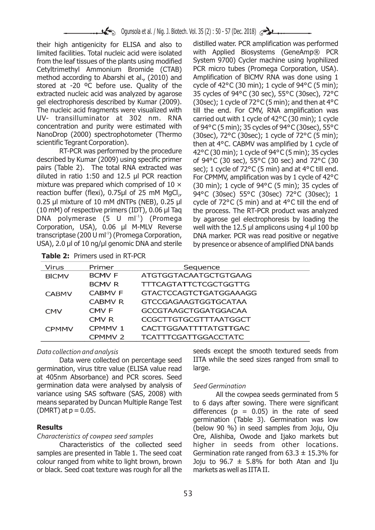their high antigenicity for ELISA and also to distilled water. PCR amplification was performed<br>limited facilities. Total nucleic acid were isolated with. Applied. Biosystems. (GeneAmp®, PCR limited facilities. Total nucleic acid were isolated vith Applied Biosystems (GeneAmp® PCR<br>from the leaf tissues of the plants using modified System 9700) Cycler machine using Iyophilized from the leaf tissues of the plants using modified System 9700) Cycler machine using Iyophilized<br>Cetyltrimethyl Ammonium Bromide (CTAB) PCR micro tubes (Promega Corporation, USA). Cetyltrimethyl Ammonium Bromide (CTAB). method according to Abarshi et al., (2010) and Amplification of BlCMV RNA was done using 1 stored at -20 °C before use. Quality of the cycle of  $42^{\circ}$ C (30 min); 1 cycle of 94°C (5 min); extracted nucleic acid was analyzed by agarose 35 cycles of 94°C (30 sec), 55°C (30sec), 72°C gel electrophoresis described by Kumar (2009). (30sec); 1 cycle of 72°C (5 min); and then at 4°C The nucleic acid fragments were visualized with till the end. For CMV, RNA amplification was UV- transilluminator at 302 nm. RNA carried out with 1 cycle of  $42^{\circ}$ C (30 min); 1 cycle concentration and purity were estimated with of  $94^{\circ}$ C (5 min): 35 cycles of  $94^{\circ}$ C (30 sec). 55 °C concentration and purity were estimated with of 94°C (5 min); 35 cycles of 94°C (30sec), 55°C<br>NanoDrop (2000) spectrophotometer (Thermo (30sec), 72°C (30sec); 1 cycle of 72°C (5 min); NanoDrop (2000) spectrophotometer (Thermo (30sec), 72°C (30sec); 1 cycle of 72°C (5 min);<br>scientific Tegrant Corporation). then at 4°C CARMV was amplified by 1 cycle of

RT-PCR was performed by the procedure  $42^{\circ}$ C (30 min); 1 cycle of 94°C (5 min); 35 cycles described by Kumar (2009) using specific primer  $\frac{1}{100}$  of 94°C (30 sec). 55°C (30 sec) and 72°C (30 pairs (Table 2). The total RNA extracted was sec); 1 cycle of 72°C (5 min) and at 4°C till end.<br>diluted in ratio 1:50 and 12.5 ul PCR reaction For CPMMV amplification was by 1 cycle of 42°C diluted in ratio 1:50 and 12.5 µl PCR reaction For CPMMV, amplification was by 1 cycle of 42°C<br>mixture was prepared which comprised of  $10 \times$  (30 min): 1 cycle of 94°C (5 min): 35 cycles of mixture was prepared which comprised of  $10 \times$  (30 min); 1 cycle of 94°C (5 min); 35 cycles of reaction buffer (flexi), 0.75µl of 25 mM MgCl<sub>2</sub>, 94°C (30sec) 55°C (30sec) 72°C (30sec): 1 0.25 µl mixture of 10 mM dNTPs (NEB), 0.25 µl cycle of 72 $^{\circ}$ C (5 min) and at 4 $^{\circ}$ C till the end of (10 mM) of respective primers (IDT), 0.06 µl Taq the process. The RT-PCR product was analyzed DNA polymerase (5 U ml<sup>1</sup>) (Promega by agarose gel electrophoresis by loading the Corporation, USA), 0.06 µl M-MLV Reverse well with the 12.5 µl amplicons using 4 µl 100 bp transcriptase (200 U ml<sup>-1</sup>) (Promega Corporation, DNA marker. PCR was read positive or negative USA), 2.0 µl of 10 ng/µl genomic DNA and sterile by presence or absence of amplified DNA bands

ic Tegrant Corporation). then at 4°C. CABMV was amplified by 1 cycle of<br>RT-PCR was performed by the procedure  $42^{\circ}$ C (30 min): 1 cycle of 94°C (5 min): 35 cycles of 94°C (30 sec), 55°C (30 sec) and 72°C (30 94°C (30sec) 55°C (30sec) 72°C (30sec); 1 the process. The RT-PCR product was analyzed

**Table 2:** Primers used in RT-PCR

| Virus        | Primer             | Sequence                    |  |  |  |  |  |  |
|--------------|--------------------|-----------------------------|--|--|--|--|--|--|
| <b>BICMV</b> | <b>BCMVF</b>       | ATGTGGTACAATGCTGTGAAG       |  |  |  |  |  |  |
|              | <b>BCMVR</b>       | TTTCAGTATTCTCGCTGGTTG       |  |  |  |  |  |  |
| <b>CABMV</b> | <b>CABMV F</b>     | GTACTCCAGTCTGATGGAAAGG      |  |  |  |  |  |  |
|              | <b>CABMV R</b>     | GTCCGAGAAGTGGTGCATAA        |  |  |  |  |  |  |
| <b>CMV</b>   | CMV <sub>F</sub>   | GCCGTAAGCTGGATGGACAA        |  |  |  |  |  |  |
|              | CMV <sub>R</sub>   | CCGCTTGTGCGTTTAATGGCT       |  |  |  |  |  |  |
| <b>CPMMV</b> | CPMMV <sub>1</sub> | CACTTGGAATTTTATGTTGAC       |  |  |  |  |  |  |
|              | CPMMV <sub>2</sub> | <b>TCATTTCGATTGGACCTATC</b> |  |  |  |  |  |  |

germination, virus titre value (ELISA value read large. at 405nm Absorbance) and PCR scores. Seed germination data were analysed by analysis of *Seed Germination* variance using SAS software (SAS, 2008) with All the cowpea seeds germinated from 5<br>means separated by Duncan Multiple Range Test to 6 days after sowing. There were significant means separated by Duncan Multiple Range Test to 6 days after sowing. There were significant<br>(DMRT) at  $p = 0.05$ .<br>differences ( $p = 0.05$ ) in the rate of seed

samples are presented in Table 1. The seed coat Germination rate ranged from  $63.3 \pm 15.3\%$  for colour ranged from white to light brown, brown Joju to 96.7  $\pm$  5.8% for both Atan and Iju or black. Seed coat texture was rough for all the markets as well as IITA II.

*Data collection and analysis* seeds except the smooth textured seeds from Data were collected on percentage seed IITA while the seed sizes ranged from small to

differences ( $p = 0.05$ ) in the rate of seed germination (Table 3). Germination was low **Results Results** (below 90 %) in seed samples from Joju, Oju *Characteristics of cowpea seed samples* Ore, Alishiba, Owode and Ijako markets but Characteristics of the collected seed higher in seeds from other locations.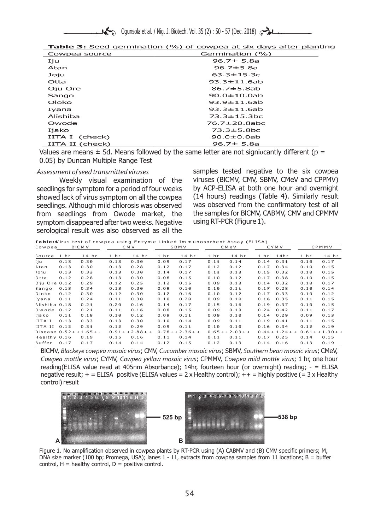| <b>Table 3:</b> Seed germination (%) of cowpea at six days after planting |                           |  |  |
|---------------------------------------------------------------------------|---------------------------|--|--|
| $COM (B0) (B0) (B0)$                                                      | $Cormin-time(0/\sqrt{2})$ |  |  |

| Cowpea source   | Germination (%)    |  |  |  |  |
|-----------------|--------------------|--|--|--|--|
| Iju             | $96.7 \pm 5.8a$    |  |  |  |  |
| Atan            | $96.7 \pm 5.8a$    |  |  |  |  |
| Joju            | $63.3 \pm 15.3c$   |  |  |  |  |
| Otta            | $93.3 \pm 11.6$ ab |  |  |  |  |
| Oju Ore         | $86.7 \pm 5.8$ ab  |  |  |  |  |
| Sango           | $90.0 \pm 10.0$ ab |  |  |  |  |
| Oloko           | $93.9 \pm 11.6$ ab |  |  |  |  |
| Iyana           | $93.3 \pm 11.6$ ab |  |  |  |  |
| Alishiba        | $73.3 \pm 15.3$ bc |  |  |  |  |
| Owode           | 76.7±20.8abc       |  |  |  |  |
| Ijako           | $73.3 \pm 5.8$ bc  |  |  |  |  |
| IITA I (check)  | $90.0 \pm 0.0$ ab  |  |  |  |  |
| IITA II (check) | $96.7 \pm 5.8a$    |  |  |  |  |

Values are means  $\pm$  Sd. Means followed by the same letter are not signiveantly different (p = 0.05) by Duncan Multiple Range Test

seedlings for symptom for a period of four weeks by ACP-ELISA at both one hour and overnight<br>showed lack of virus symptom on all the cowpea (14 hours) readings (Table 4). Similarly result showed lack of virus symptom on all the cowpea (14 hours) readings (Table 4). Similarly result seedlings, Although mild chlorosis was observed was observed from the confirmatory test of all seedlings. Although mild chlorosis was observed vas observed from the confirmatory test of all<br>from seedlings from Owode market, the the samples for BICMV, CABMV, CMV and CPMMV from seedlings from Owode market, the the samples for BICMV, C<br>symptom disappeared after two weeks. Negative using RT-PCR (Figure 1). symptom disappeared after two weeks. Negative serological result was also observed as all the

Assessment of seed transmitted viruses samples tested negative to the six cowpea Weekly visual examination of the viruses (BlCMV, CMV, SBMV, CMeV and CPPMV)

| Table:4/irus test of cowpea using Enzyme Linked Immunosorbent Assay (ELISA) |
|-----------------------------------------------------------------------------|
|-----------------------------------------------------------------------------|

| Cowpea             |      | <b>BICMV</b>              | <b>CMV</b> |            |            | SBMV       |               | CMeV               |      | <b>CYMV</b>       |            | CPMMV      |
|--------------------|------|---------------------------|------------|------------|------------|------------|---------------|--------------------|------|-------------------|------------|------------|
| Source             | 1 hr | 14hr                      | $1$ hr     | 14hr       | $1$ hr     | 14hr       | $1$ hr        | 14hr               | 1 hr | 14hr              | 1 hr       | 14hr       |
| lju                | 0.13 | 0.30                      | 0.13       | 0.30       | 0.09       | 0.17       | 0.11          | 0.14               | 0.14 | 0.31              | 0.10       | 0.17       |
| Atan               | 0.13 | 0.30                      | 0.13       | 0.28       | 0.12       | 0.17       | 0.12          | 0.12               | 0.17 | 0.34              | 0.10       | 0.15       |
| Joju               | 0.13 | 0.33                      | 0.13       | 0.30       | 0.14       | 0.17       | 0.11          | 0.13               | 0.15 | 0.32              | 0.10       | 0.15       |
| $5$ tta            | 0.12 | 0.28                      | 0.13       | 0.30       | 0.08       | 0.15       | 0.10          | 0.12               | 0.17 | 0.38              | 0.10       | 0.15       |
| Dju Ore 0.12       |      | 0.29                      | 0.12       | 0.25       | 0.12       | 0.15       | 0.09          | 0.13               | 0.14 | 0.32              | 0.10       | 0.17       |
| Sango              | 0.13 | 0.34                      | 0.13       | 0.30       | 0.09       | 0.10       | 0.10          | 0.11               | 0.17 | 0.28              | 0.10       | 0.14       |
| Jloko              | 0.12 | 0.30                      | 0.12       | 0.30       | 0.12       | 0.16       | 0.10          | 0.12               | 0.17 | 0.33              | 0.10       | 0.12       |
| [yana              | 0.11 | 0.24                      | 0.11       | 0.30       | 0.10       | 0.20       | 0.09          | 0.10               | 0.16 | 0.35              | 0.11       | 0.15       |
| Alishiba 0.18      |      | 0.21                      | 0.20       | 0.16       | 0.14       | 0.17       | 0.15          | 0.16               | 0.19 | 0.37              | 0.10       | 0.15       |
| <b>Dwode</b>       | 0.12 | 0.21                      | 0.11       | 0.16       | 0.08       | 0.15       | 0.09          | 0.13               | 0.24 | 0.42              | 0.11       | 0.17       |
| ljako              | 0.11 | 0.18                      | 0.10       | 0.12       | 0.09       | 0.11       | 0.09          | 0.10               | 0.14 | 0.29              | 0.09       | 0.13       |
| ITA I              | 0.13 | 0.33                      | 0.13       | 0.30       | 0.10       | 0.14       | 0.09          | 0.11               | 0.19 | 0.41              | 0.11       | 0.15       |
| IITA II            | 0.12 | 0.31                      | 0.12       | 0.29       | 0.09       | 0.11       | $0.1\,\theta$ | 0.10               | 0.16 | 0.34              | 0.12       | 0.19       |
|                    |      | Disease $0.52 + 1.65 + 1$ | $0.91 + 1$ | $2.88 + +$ | $0.78 + +$ | $2.36 + 1$ |               | $0.65 + 12.03 + 1$ |      | $0.44 + 1.24 + +$ | $0.61 + +$ | $1.30 + -$ |
| $-$ dealthy $0.16$ |      | 0.19                      | 0.15       | 0.16       | 0.11       | 0.14       | 0.11          | 0.11               | 0.17 | 0.25              | 0.14       | 0.15       |
| 3 u ffer           | 0.17 | 0.17                      | 0.14       | 0.14       | 0.12       | 0.15       | 0.12          | 0.13               | 0.14 | 0.16              | 0.13       | 0.19       |

BlCMV, *Blackeye cowpea mosaic virus*; CMV, *Cucumber mosaic virus*; SBMV, *Southern bean mosaic virus*; CMeV, *Cowpea mottle virus*; CYMV, *Cowpea yellow mosaic virus*; CPMMV, *Cowpea mild mottle virus*; 1 hr, one hour reading(ELISA value read at 405nm Absorbance); 14hr, fourteen hour (or overnight) reading; - = ELISA negative result;  $+$  = ELISA positive (ELISA values = 2 x Healthy control);  $++$  = highly positive (= 3 x Healthy control) result



Figure 1. No amplification observed in cowpea plants by RT-PCR using (A) CABMV and (B) CMV specific primers; M, DNA size marker (100 bp; Promega, USA); lanes 1 - 11, extracts from cowpea samples from 11 locations; B = buffer control,  $H =$  healthy control,  $D =$  positive control.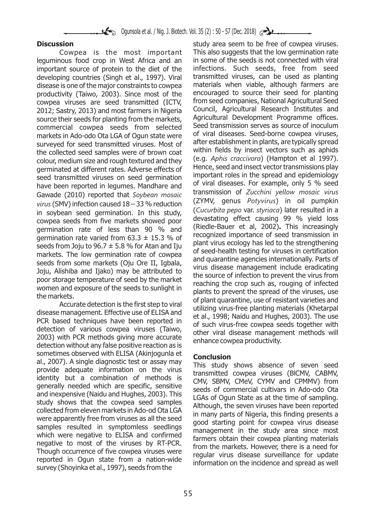leguminous food crop in West Africa and an in some of the seeds is not connected with viral<br>important source of protein to the diet of the infections. Such seeds, free from seed important source of protein to the diet of the developing countries (Singh et al., 1997). Viral transmitted viruses, can be used as planting disease is one of the major constraints to cowpea materials when viable, although farmers are<br>productivity (Taiwo, 2003). Since most of the encouraged to source their seed for planting productivity (Taiwo, 2003). Since most of the encouraged to source their seed for planting<br>cownea viruses are seed transmitted (ICTV from seed companies, National Agricultural Seed cowpea viruses are seed transmitted (ICTV, from seed companies, National Agricultural Seed<br>2012: Sastry 2013) and most farmers in Nigeria - Council, Agricultural Research Institutes and 2012; Sastry, 2013) and most farmers in Nigeria Council, Agricultural Research Institutes and source their seeds for planting from the markets, Agricultural Development Programme offices.<br>Commercial cownes, seeds, from selected Seed transmission serves as source of inoculum commercial cowpea seeds from selected Seed-transmission serves as source of inoculum<br>markets in Ado-odo Ota LGA of Ogun state were of viral diseases. Seed-borne cowpea viruses, markets in Ado-odo Ota LGA of Ogun state were of viral diseases. Seed-borne cowpea viruses,<br>surveyed for seed transmitted viruses. Most of after establishment in plants, are typically spread surveyed for seed transmitted viruses. Most of arter establishment in plants, are typically spread<br>the collected sood samples were of brown coat within fields by insect vectors such as aphids the collected seed samples were of brown coat<br>colour medium size and rough textured and the v (e.g. Aphis craccivora) (Hampton et al 1997). colour, medium size and rough textured and they (e.g. *Aphis craccivora*) (Hampton et al 1997).<br>corminated at different rates. Adverse effects of Hence, seed and insect vector transmissions play germinated at different rates. Adverse effects of Hence, seed and insect vector transmissions play<br>seed, transmitted viruses, on seed, germination important roles in the spread and epidemiology seed transmitted viruses on seed germination important roles in the spread and epidemiology<br>have been reported in logumes. Mandbare and of viral diseases. For example, only 5 % seed have been reported in legumes. Mandhare and diseases for example, only 5 % seed<br>Caugdo (2010) reported that Soubean massic transmission of Zucchini yellow mosaic virus Gawade (2010) reported that *Soybean mosaic virus* (SMV) infection caused 18 – 33 % reduction in soybean seed germination. In this study, (*Cucurbita pepo* var. *styriaca*) later resulted in a cowpea seeds from five markets showed poor devastating effect causing 99 % yield loss cowpea seeds from five markets showed poor and devastating effect causing 99 % yield loss<br>cormination rate of loss than 90 % and (Riedle-Bauer et al. 2002). This increasingly germination rate of less than 90 % and (Riedle-Bauer et al, 2002). This increasingly<br>germination rate varied from 63.3 + 15.2 o/ of recognized importance of seed transmission in germination rate varied from 63.3  $\pm$  15.3 % of<br>seeds from Joju to 96.7  $\pm$  5.8 % for Atan and Iju<br>markets. The low germination rate of cowpea<br>seeds from some markets (Oju Ore II, Igbala,<br>Joju, Alishiba and Ijako) may b poor storage temperature of seed by the market<br>women and exposure of the seeds to sunlight in<br>also the sexual the crop such as, rouging of infected<br>women and exposure of the seeds to sunlight in

detection without any false positive reaction as is sometimes observed with ELISA (Akinjogunla et<br>al., 2007). A single diagnostic test or assay may<br>provide adequate information on the virus the study shows absence of seven seed<br>provide adequate information on the virus provide adequate information on the virus transmitted cowpea viruses (BICMV, CABMV, identity but a combination of methods is CMV, SBMV, CMeV, CYMV and CPMMV) from generally needed which are specific, sensitive generally needed which are specific, sensitive<br>and inexpensive (Naidu and Hughes, 2003). This<br>study shows that the cowpea seed samples<br>collected from eleven markets in Ado-od Ota LGA<br>collected from eleven markets in Ado-od were apparently free from viruses as all the seed<br>samples resulted in symptomless seedlings<br>which were negative to ELISA and confirmed<br>negative to most of the viruses by RT-PCR.<br>Though occurrence of five cowpea viruses wer survey (Shoyinka et al., 1997), seeds from the

**Discussion** study area seem to be free of cowpea viruses. Cowpea is the most important This also suggests that the low germination rate (ZYMV, genus *Potyvirus*) in oil pumpkin women and exposure of the seeds to sunlight in<br>the markets.<br>Accurate detection is the first step to viral<br>disease management. Effective use of ELISA and<br>PCR based techniques have been reported in<br>detection of various cowpe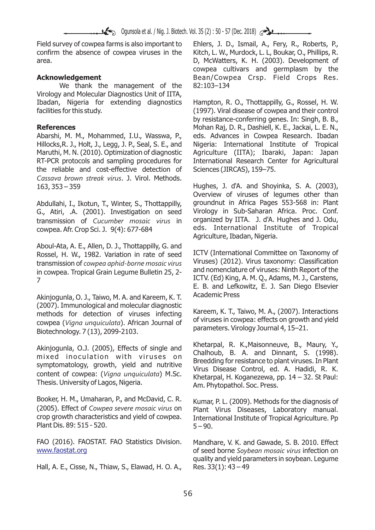Field survey of cowpea farms is also important to Ehlers, J. D., Ismail, A., Fery, R., Roberts, P., confirm the absence of cowpea viruses in the Kitch, L. W., Murdock, L. L. Boukar, O., Phillips, R. confirm the absence of cowpea viruses in the area. D, McWatters, K. H. (2003). Development of

We thank the management of the 82:103–134 Virology and Molecular Diagnostics Unit of IITA, Ibadan, Nigeria for extending diagnostics Hampton, R. O., Thottappilly, G., Rossel, H. W. facilities for this study. (1997). Viral disease of cowpea and their control

Abarshi, M. M., Mohammed, I.U., Wasswa, P., eds. Advances in Cowpea Research. Ibadan Hillocks,R. J., Holt, J., Legg, J. P., Seal, S. E., and Nigeria: International Institute of Tropical Maruthi, M. N. (2010). Optimization of diagnostic Agriculture (IITA); Ibaraki, Japan: Japan RT-PCR protocols and sampling procedures for International Research Center for Agricultural the reliable and cost-effective detection of Sciences (JIRCAS), 159–75. *Cassava brown streak virus*. J. Virol. Methods. 163, 353 – 359 Hughes, J. d'A. and Shoyinka, S. A. (2003),

G., Atiri, .A. (2001). Investigation on seed Virology in Sub-Saharan Africa. Proc. Conf.<br>transmission of *Cucumber mosaic virus* in organized by IITA. J. d'A. Hughes and J. Odu, transmission of *Cucumber mosaic virus* in cowpea. Afr. Crop Sci. J. 9(4): 677-684 eds. International Institute of Tropical

Aboul-Ata, A. E., Allen, D. J., Thottappilly, G. and Rossel, H. W., 1982. Variation in rate of seed LCTV (International Committee on Taxonomy of transmission of *cowpea aphid-borne mosaic virus* Viruses) (2012). Virus taxonomy: Classification<br>in cowpea Tropical Grain Lequine Bulletin 25, 2, and nomenclature of viruses: Ninth Report of the in cowpea. Tropical Grain Legume Bulletin 25, 2-ICTV. (Ed) King, A. M. Q., Adams, M. J., Carstens,

Akinjogunla, O. J., Taiwo, M. A. and Kareem, K. T. Academic Press (2007). Immunological and molecular diagnostic methods for detection of viruses infecting Kareem, K. T., Taiwo, M. A., (2007). Interactions<br>Formal of of viruses in cowpea: effects on growth and yield of viruses in cowpea: effects on growth and yield cowpea (*Vigna unquiculata*). African Journal of Biotechnology. 7 (13), 2099-2103.

symptomatology, growth, yield and nutritive<br>content of cowpea: (*Vigna unquiculata*) M.Sc.<br>Thesis. University of Lagos. Nigeria.<br> $\frac{1}{2}$  M.Sc.<br> $\frac{1}{2}$  Khetarpal, H. Koganezewa, pp. 14 – 32. St Paul:

Booker, H. M., Umaharan, P., and McDavid, C. R. Kumar, P. L. (2009). Methods for the diagnosis of (2005). Effect of Cowpeg severe mosaic virus on plant Virus, Diseases, Laboratory, manual (2005). Effect of *Cowpea severe mosaic virus* on Plant Virus Diseases, Laboratory manual. Plant Dis. 89: 515 - 520. 5 – 5 – 90.

FAO (2016). FAOSTAT. FAO Statistics Division. Mandhare, V. K. and Gawade, S. B. 2010. Effect www.faostat.org

Hall, A. E., Cisse, N., Thiaw, S., Elawad, H. O. A., Res. 33(1): 43 – 49

cowpea cultivars and germplasm by the Acknowledgement **Acknowledgement** Bean/Cowpea Crsp. Field Crops Res.

by resistance-conferring genes. In: Singh, B. B., **References** Mohan Raj, D. R., Dashiell, K. E., Jackai, L. E. N.,

Overview of viruses of legumes other than Abdullahi, I., Ikotun, T., Winter, S., Thottappilly, groundnut in Africa Pages 553-568 in: Plant<br>G., Atiri, A. (2001), Investigation on seed. Virology in Sub-Saharan Africa, Proc. Conf. Agriculture, Ibadan, Nigeria.

E. B. and Lefkowitz, E. J. San Diego Elsevier

Akinjogunla, O.J. (2005), Effects of single and Khetarpal, R. K., Maisonneuve, B., Maury, Y., <br>mixed inoculation with viruses on Chalhoub, B. A. and Dinnant, S. (1998).<br>minimetals are senting indicate the seconding for res Am. Phytopathol. Soc. Press.

International Institute of Tropical Agriculture. Pp

of seed borne *Soybean mosaic virus* infection on quality and yield parameters in soybean. Legume